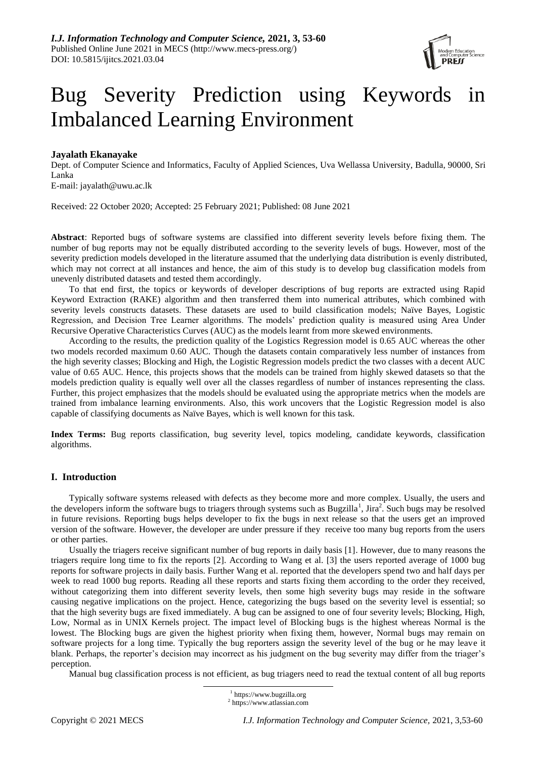

# Bug Severity Prediction using Keywords in Imbalanced Learning Environment

# **Jayalath Ekanayake**

Dept. of Computer Science and Informatics, Faculty of Applied Sciences, Uva Wellassa University, Badulla, 90000, Sri Lanka

E-mail: jayalath@uwu.ac.lk

Received: 22 October 2020; Accepted: 25 February 2021; Published: 08 June 2021

**Abstract**: Reported bugs of software systems are classified into different severity levels before fixing them. The number of bug reports may not be equally distributed according to the severity levels of bugs. However, most of the severity prediction models developed in the literature assumed that the underlying data distribution is evenly distributed, which may not correct at all instances and hence, the aim of this study is to develop bug classification models from unevenly distributed datasets and tested them accordingly.

To that end first, the topics or keywords of developer descriptions of bug reports are extracted using Rapid Keyword Extraction (RAKE) algorithm and then transferred them into numerical attributes, which combined with severity levels constructs datasets. These datasets are used to build classification models; Naïve Bayes, Logistic Regression, and Decision Tree Learner algorithms. The models' prediction quality is measured using Area Under Recursive Operative Characteristics Curves (AUC) as the models learnt from more skewed environments.

According to the results, the prediction quality of the Logistics Regression model is 0.65 AUC whereas the other two models recorded maximum 0.60 AUC. Though the datasets contain comparatively less number of instances from the high severity classes; Blocking and High, the Logistic Regression models predict the two classes with a decent AUC value of 0.65 AUC. Hence, this projects shows that the models can be trained from highly skewed datasets so that the models prediction quality is equally well over all the classes regardless of number of instances representing the class. Further, this project emphasizes that the models should be evaluated using the appropriate metrics when the models are trained from imbalance learning environments. Also, this work uncovers that the Logistic Regression model is also capable of classifying documents as Naïve Bayes, which is well known for this task.

**Index Terms:** Bug reports classification, bug severity level, topics modeling, candidate keywords, classification algorithms.

# **I. Introduction**

Typically software systems released with defects as they become more and more complex. Usually, the users and the developers inform the software bugs to triagers through systems such as Bugzilla<sup>1</sup>, Jira<sup>2</sup>. Such bugs may be resolved in future revisions. Reporting bugs helps developer to fix the bugs in next release so that the users get an improved version of the software. However, the developer are under pressure if they receive too many bug reports from the users or other parties.

Usually the triagers receive significant number of bug reports in daily basis [1]. However, due to many reasons the triagers require long time to fix the reports [2]. According to Wang et al. [3] the users reported average of 1000 bug reports for software projects in daily basis. Further Wang et al. reported that the developers spend two and half days per week to read 1000 bug reports. Reading all these reports and starts fixing them according to the order they received, without categorizing them into different severity levels, then some high severity bugs may reside in the software causing negative implications on the project. Hence, categorizing the bugs based on the severity level is essential; so that the high severity bugs are fixed immediately. A bug can be assigned to one of four severity levels; Blocking, High, Low, Normal as in UNIX Kernels project. The impact level of Blocking bugs is the highest whereas Normal is the lowest. The Blocking bugs are given the highest priority when fixing them, however, Normal bugs may remain on software projects for a long time. Typically the bug reporters assign the severity level of the bug or he may leave it blank. Perhaps, the reporter's decision may incorrect as his judgment on the bug severity may differ from the triager's perception.

Manual bug classification process is not efficient, as bug triagers need to read the textual content of all bug reports

 $\overline{a}$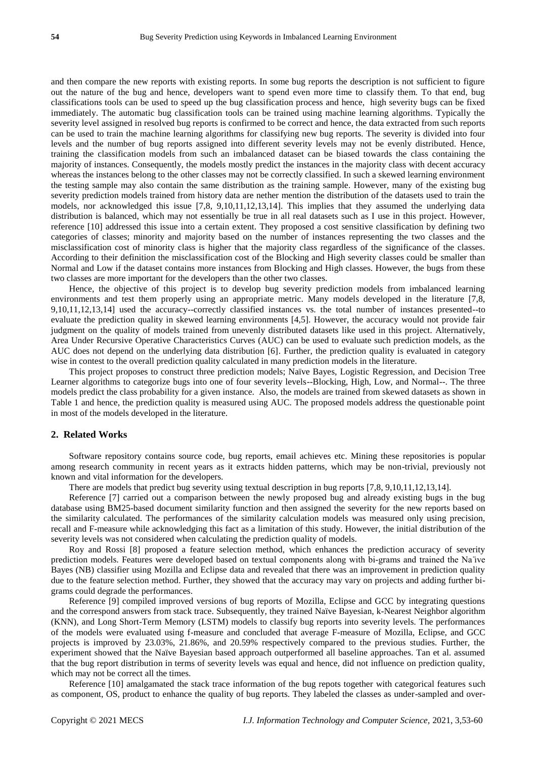and then compare the new reports with existing reports. In some bug reports the description is not sufficient to figure out the nature of the bug and hence, developers want to spend even more time to classify them. To that end, bug classifications tools can be used to speed up the bug classification process and hence, high severity bugs can be fixed immediately. The automatic bug classification tools can be trained using machine learning algorithms. Typically the severity level assigned in resolved bug reports is confirmed to be correct and hence, the data extracted from such reports can be used to train the machine learning algorithms for classifying new bug reports. The severity is divided into four levels and the number of bug reports assigned into different severity levels may not be evenly distributed. Hence, training the classification models from such an imbalanced dataset can be biased towards the class containing the majority of instances. Consequently, the models mostly predict the instances in the majority class with decent accuracy whereas the instances belong to the other classes may not be correctly classified. In such a skewed learning environment the testing sample may also contain the same distribution as the training sample. However, many of the existing bug severity prediction models trained from history data are nether mention the distribution of the datasets used to train the models, nor acknowledged this issue [7,8, 9,10,11,12,13,14]. This implies that they assumed the underlying data distribution is balanced, which may not essentially be true in all real datasets such as I use in this project. However, reference [10] addressed this issue into a certain extent. They proposed a cost sensitive classification by defining two categories of classes; minority and majority based on the number of instances representing the two classes and the misclassification cost of minority class is higher that the majority class regardless of the significance of the classes. According to their definition the misclassification cost of the Blocking and High severity classes could be smaller than Normal and Low if the dataset contains more instances from Blocking and High classes. However, the bugs from these two classes are more important for the developers than the other two classes.

Hence, the objective of this project is to develop bug severity prediction models from imbalanced learning environments and test them properly using an appropriate metric. Many models developed in the literature [7,8, 9,10,11,12,13,14] used the accuracy--correctly classified instances vs. the total number of instances presented--to evaluate the prediction quality in skewed learning environments [4,5]. However, the accuracy would not provide fair judgment on the quality of models trained from unevenly distributed datasets like used in this project. Alternatively, Area Under Recursive Operative Characteristics Curves (AUC) can be used to evaluate such prediction models, as the AUC does not depend on the underlying data distribution [6]. Further, the prediction quality is evaluated in category wise in contest to the overall prediction quality calculated in many prediction models in the literature.

This project proposes to construct three prediction models; Naïve Bayes, Logistic Regression, and Decision Tree Learner algorithms to categorize bugs into one of four severity levels--Blocking, High, Low, and Normal--. The three models predict the class probability for a given instance. Also, the models are trained from skewed datasets as shown in Table 1 and hence, the prediction quality is measured using AUC. The proposed models address the questionable point in most of the models developed in the literature.

# **2. Related Works**

Software repository contains source code, bug reports, email achieves etc. Mining these repositories is popular among research community in recent years as it extracts hidden patterns, which may be non-trivial, previously not known and vital information for the developers.

There are models that predict bug severity using textual description in bug reports [7,8, 9,10,11,12,13,14].

Reference [7] carried out a comparison between the newly proposed bug and already existing bugs in the bug database using BM25-based document similarity function and then assigned the severity for the new reports based on the similarity calculated. The performances of the similarity calculation models was measured only using precision, recall and F-measure while acknowledging this fact as a limitation of this study. However, the initial distribution of the severity levels was not considered when calculating the prediction quality of models.

Roy and Rossi [8] proposed a feature selection method, which enhances the prediction accuracy of severity prediction models. Features were developed based on textual components along with bi-grams and trained the Na ̈ıve Bayes (NB) classifier using Mozilla and Eclipse data and revealed that there was an improvement in prediction quality due to the feature selection method. Further, they showed that the accuracy may vary on projects and adding further bigrams could degrade the performances.

Reference [9] compiled improved versions of bug reports of Mozilla, Eclipse and GCC by integrating questions and the correspond answers from stack trace. Subsequently, they trained Naïve Bayesian, k-Nearest Neighbor algorithm (KNN), and Long Short-Term Memory (LSTM) models to classify bug reports into severity levels. The performances of the models were evaluated using f-measure and concluded that average F-measure of Mozilla, Eclipse, and GCC projects is improved by 23.03%, 21.86%, and 20.59% respectively compared to the previous studies. Further, the experiment showed that the Naïve Bayesian based approach outperformed all baseline approaches. Tan et al. assumed that the bug report distribution in terms of severity levels was equal and hence, did not influence on prediction quality, which may not be correct all the times.

Reference [10] amalgamated the stack trace information of the bug repots together with categorical features such as component, OS, product to enhance the quality of bug reports. They labeled the classes as under-sampled and over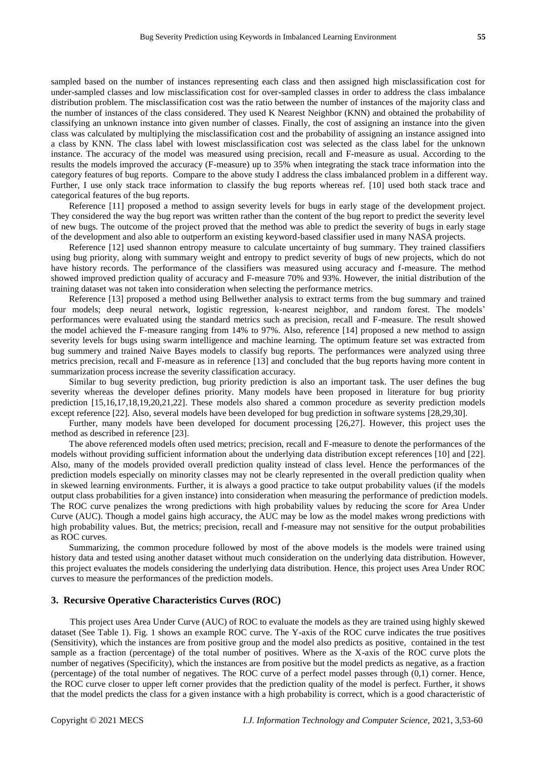classifying an unknown instance into given number of classes. Finally, the cost of assigning an instance into the given class was calculated by multiplying the misclassification cost and the probability of assigning an instance assigned into a class by KNN. The class label with lowest misclassification cost was selected as the class label for the unknown instance. The accuracy of the model was measured using precision, recall and F-measure as usual. According to the results the models improved the accuracy (F-measure) up to 35% when integrating the stack trace information into the category features of bug reports. Compare to the above study I address the class imbalanced problem in a different way. Further, I use only stack trace information to classify the bug reports whereas ref. [10] used both stack trace and categorical features of the bug reports.

Reference [11] proposed a method to assign severity levels for bugs in early stage of the development project. They considered the way the bug report was written rather than the content of the bug report to predict the severity level of new bugs. The outcome of the project proved that the method was able to predict the severity of bugs in early stage of the development and also able to outperform an existing keyword-based classifier used in many NASA projects.

Reference [12] used shannon entropy measure to calculate uncertainty of bug summary. They trained classifiers using bug priority, along with summary weight and entropy to predict severity of bugs of new projects, which do not have history records. The performance of the classifiers was measured using accuracy and f-measure. The method showed improved prediction quality of accuracy and F-measure 70% and 93%. However, the initial distribution of the training dataset was not taken into consideration when selecting the performance metrics.

Reference [13] proposed a method using Bellwether analysis to extract terms from the bug summary and trained four models; deep neural network, logistic regression, k-nearest neighbor, and random forest. The models' performances were evaluated using the standard metrics such as precision, recall and F-measure. The result showed the model achieved the F-measure ranging from 14% to 97%. Also, reference [14] proposed a new method to assign severity levels for bugs using swarm intelligence and machine learning. The optimum feature set was extracted from bug summery and trained Naive Bayes models to classify bug reports. The performances were analyzed using three metrics precision, recall and F-measure as in reference [13] and concluded that the bug reports having more content in summarization process increase the severity classification accuracy.

Similar to bug severity prediction, bug priority prediction is also an important task. The user defines the bug severity whereas the developer defines priority. Many models have been proposed in literature for bug priority prediction [15,16,17,18,19,20,21,22]. These models also shared a common procedure as severity prediction models except reference [22]. Also, several models have been developed for bug prediction in software systems [28,29,30].

Further, many models have been developed for document processing [26,27]. However, this project uses the method as described in reference [23].

The above referenced models often used metrics; precision, recall and F-measure to denote the performances of the models without providing sufficient information about the underlying data distribution except references [10] and [22]. Also, many of the models provided overall prediction quality instead of class level. Hence the performances of the prediction models especially on minority classes may not be clearly represented in the overall prediction quality when in skewed learning environments. Further, it is always a good practice to take output probability values (if the models output class probabilities for a given instance) into consideration when measuring the performance of prediction models. The ROC curve penalizes the wrong predictions with high probability values by reducing the score for Area Under Curve (AUC). Though a model gains high accuracy, the AUC may be low as the model makes wrong predictions with high probability values. But, the metrics; precision, recall and f-measure may not sensitive for the output probabilities as ROC curves.

Summarizing, the common procedure followed by most of the above models is the models were trained using history data and tested using another dataset without much consideration on the underlying data distribution. However, this project evaluates the models considering the underlying data distribution. Hence, this project uses Area Under ROC curves to measure the performances of the prediction models.

### **3. Recursive Operative Characteristics Curves (ROC)**

This project uses Area Under Curve (AUC) of ROC to evaluate the models as they are trained using highly skewed dataset (See Table 1). Fig. 1 shows an example ROC curve. The Y-axis of the ROC curve indicates the true positives (Sensitivity), which the instances are from positive group and the model also predicts as positive, contained in the test sample as a fraction (percentage) of the total number of positives. Where as the X-axis of the ROC curve plots the number of negatives (Specificity), which the instances are from positive but the model predicts as negative, as a fraction (percentage) of the total number of negatives. The ROC curve of a perfect model passes through (0,1) corner. Hence, the ROC curve closer to upper left corner provides that the prediction quality of the model is perfect. Further, it shows that the model predicts the class for a given instance with a high probability is correct, which is a good characteristic of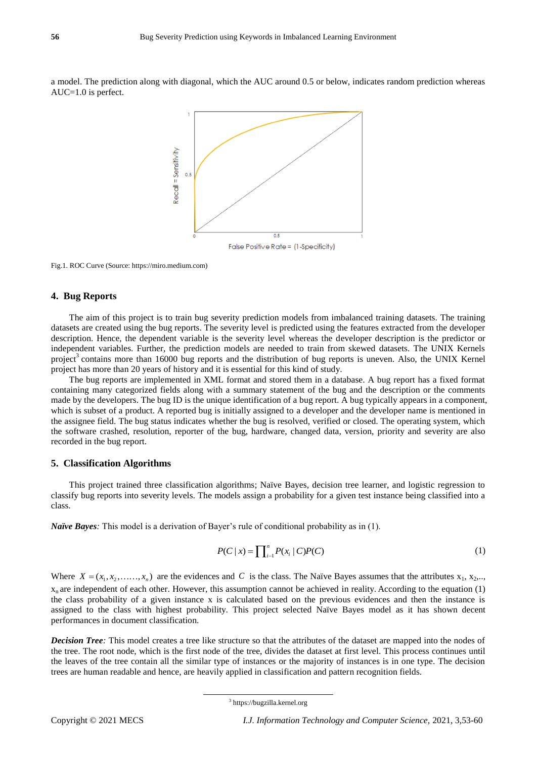a model. The prediction along with diagonal, which the AUC around 0.5 or below, indicates random prediction whereas AUC=1.0 is perfect.



Fig.1. ROC Curve (Source: https://miro.medium.com)

## **4. Bug Reports**

The aim of this project is to train bug severity prediction models from imbalanced training datasets. The training datasets are created using the bug reports. The severity level is predicted using the features extracted from the developer description. Hence, the dependent variable is the severity level whereas the developer description is the predictor or independent variables. Further, the prediction models are needed to train from skewed datasets. The UNIX Kernels project<sup>3</sup> contains more than 16000 bug reports and the distribution of bug reports is uneven. Also, the UNIX Kernel project has more than 20 years of history and it is essential for this kind of study.

The bug reports are implemented in XML format and stored them in a database. A bug report has a fixed format containing many categorized fields along with a summary statement of the bug and the description or the comments made by the developers. The bug ID is the unique identification of a bug report. A bug typically appears in a component, which is subset of a product. A reported bug is initially assigned to a developer and the developer name is mentioned in the assignee field. The bug status indicates whether the bug is resolved, verified or closed. The operating system, which the software crashed, resolution, reporter of the bug, hardware, changed data, version, priority and severity are also recorded in the bug report.

## **5. Classification Algorithms**

This project trained three classification algorithms; Naïve Bayes, decision tree learner, and logistic regression to classify bug reports into severity levels. The models assign a probability for a given test instance being classified into a class.

*Na* **ve Bayes**: This model is a derivation of Bayer's rule of conditional probability as in (1).

 $\overline{a}$ 

$$
P(C \mid x) = \prod_{i=1}^{n} P(x_i \mid C) P(C)
$$
 (1)

Where  $X = (x_1, x_2, \ldots, x_n)$  are the evidences and C is the class. The Naïve Bayes assumes that the attributes  $x_1, x_2, \ldots$  $x_n$  are independent of each other. However, this assumption cannot be achieved in reality. According to the equation (1) the class probability of a given instance x is calculated based on the previous evidences and then the instance is assigned to the class with highest probability. This project selected Naïve Bayes model as it has shown decent performances in document classification.

*Decision Tree:* This model creates a tree like structure so that the attributes of the dataset are mapped into the nodes of the tree. The root node, which is the first node of the tree, divides the dataset at first level. This process continues until the leaves of the tree contain all the similar type of instances or the majority of instances is in one type. The decision trees are human readable and hence, are heavily applied in classification and pattern recognition fields.

<sup>3</sup> https://bugzilla.kernel.org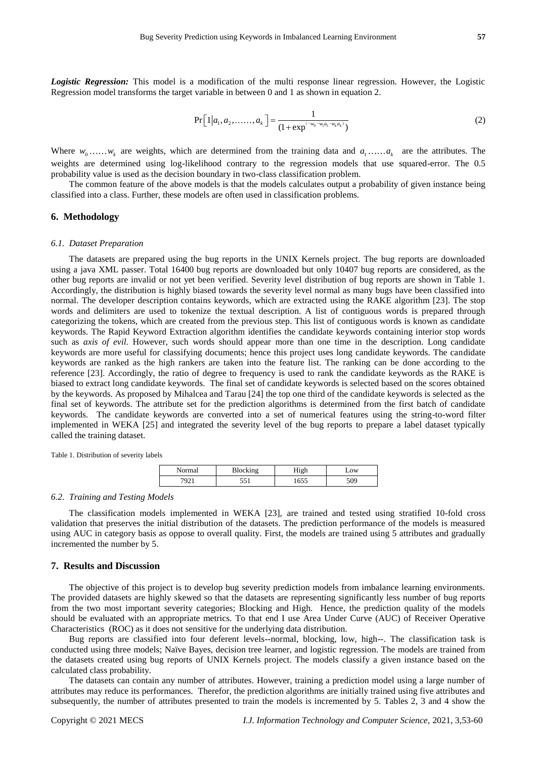*Logistic Regression:* This model is a modification of the multi response linear regression. However, the Logistic Regression model transforms the target variable in between 0 and 1 as shown in equation 2.

$$
Pr[1|a_1, a_2, \dots, a_k] = \frac{1}{(1 + exp^{(-w_0 - w_1 a_1 - w_k a_k)})}
$$
(2)

Where  $w_0$ ...... $w_k$  are weights, which are determined from the training data and  $a_1$ ...... $a_k$  are the attributes. The weights are determined using log-likelihood contrary to the regression models that use squared-error. The 0.5 probability value is used as the decision boundary in two-class classification problem.

The common feature of the above models is that the models calculates output a probability of given instance being classified into a class. Further, these models are often used in classification problems.

## **6. Methodology**

#### *6.1. Dataset Preparation*

The datasets are prepared using the bug reports in the UNIX Kernels project. The bug reports are downloaded using a java XML passer. Total 16400 bug reports are downloaded but only 10407 bug reports are considered, as the other bug reports are invalid or not yet been verified. Severity level distribution of bug reports are shown in Table 1. Accordingly, the distribution is highly biased towards the severity level normal as many bugs have been classified into normal. The developer description contains keywords, which are extracted using the RAKE algorithm [23]. The stop words and delimiters are used to tokenize the textual description. A list of contiguous words is prepared through categorizing the tokens, which are created from the previous step. This list of contiguous words is known as candidate keywords. The Rapid Keyword Extraction algorithm identifies the candidate keywords containing interior stop words such as *axis of evil.* However, such words should appear more than one time in the description. Long candidate keywords are more useful for classifying documents; hence this project uses long candidate keywords. The candidate keywords are ranked as the high rankers are taken into the feature list. The ranking can be done according to the reference [23]. Accordingly, the ratio of degree to frequency is used to rank the candidate keywords as the RAKE is biased to extract long candidate keywords. The final set of candidate keywords is selected based on the scores obtained by the keywords. As proposed by Mihalcea and Tarau [24] the top one third of the candidate keywords is selected as the final set of keywords. The attribute set for the prediction algorithms is determined from the first batch of candidate keywords. The candidate keywords are converted into a set of numerical features using the string-to-word filter implemented in WEKA [25] and integrated the severity level of the bug reports to prepare a label dataset typically called the training dataset.

Table 1. Distribution of severity labels

| lzina |                | $-0W$           |
|-------|----------------|-----------------|
| ۰ ج . | 555<br>1 U.J.J | 50 <sup>c</sup> |

#### *6.2. Training and Testing Models*

The classification models implemented in WEKA [23], are trained and tested using stratified 10-fold cross validation that preserves the initial distribution of the datasets. The prediction performance of the models is measured using AUC in category basis as oppose to overall quality. First, the models are trained using 5 attributes and gradually incremented the number by 5.

## **7. Results and Discussion**

The objective of this project is to develop bug severity prediction models from imbalance learning environments. The provided datasets are highly skewed so that the datasets are representing significantly less number of bug reports from the two most important severity categories; Blocking and High. Hence, the prediction quality of the models should be evaluated with an appropriate metrics. To that end I use Area Under Curve (AUC) of Receiver Operative Characteristics (ROC) as it does not sensitive for the underlying data distribution.

Bug reports are classified into four deferent levels--normal, blocking, low, high--. The classification task is conducted using three models; Naïve Bayes, decision tree learner, and logistic regression. The models are trained from the datasets created using bug reports of UNIX Kernels project. The models classify a given instance based on the calculated class probability.

The datasets can contain any number of attributes. However, training a prediction model using a large number of attributes may reduce its performances. Therefor, the prediction algorithms are initially trained using five attributes and subsequently, the number of attributes presented to train the models is incremented by 5. Tables 2, 3 and 4 show the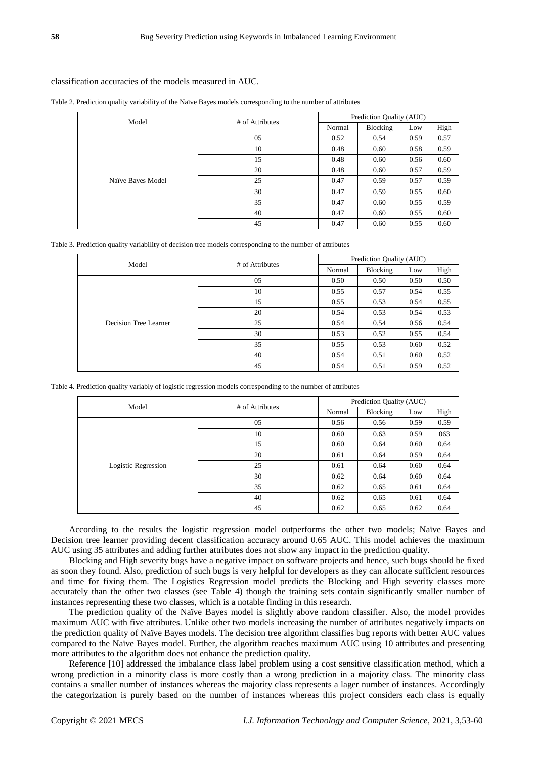#### classification accuracies of the models measured in AUC.

Table 2. Prediction quality variability of the Na ive Bayes models corresponding to the number of attributes

| Model              | # of Attributes | Prediction Quality (AUC) |          |      |      |
|--------------------|-----------------|--------------------------|----------|------|------|
|                    |                 | Normal                   | Blocking | Low  | High |
|                    | 05              | 0.52                     | 0.54     | 0.59 | 0.57 |
|                    | 10              | 0.48                     | 0.60     | 0.58 | 0.59 |
|                    | 15              | 0.48                     | 0.60     | 0.56 | 0.60 |
|                    | 20              | 0.48                     | 0.60     | 0.57 | 0.59 |
| Na ive Bayes Model | 25              | 0.47                     | 0.59     | 0.57 | 0.59 |
|                    | 30              | 0.47                     | 0.59     | 0.55 | 0.60 |
|                    | 35              | 0.47                     | 0.60     | 0.55 | 0.59 |
|                    | 40              | 0.47                     | 0.60     | 0.55 | 0.60 |
|                    | 45              | 0.47                     | 0.60     | 0.55 | 0.60 |

Table 3. Prediction quality variability of decision tree models corresponding to the number of attributes

| Model                 | # of Attributes | Prediction Quality (AUC) |          |      |      |
|-----------------------|-----------------|--------------------------|----------|------|------|
|                       |                 | Normal                   | Blocking | Low  | High |
| Decision Tree Learner | 05              | 0.50                     | 0.50     | 0.50 | 0.50 |
|                       | 10              | 0.55                     | 0.57     | 0.54 | 0.55 |
|                       | 15              | 0.55                     | 0.53     | 0.54 | 0.55 |
|                       | 20              | 0.54                     | 0.53     | 0.54 | 0.53 |
|                       | 25              | 0.54                     | 0.54     | 0.56 | 0.54 |
|                       | 30              | 0.53                     | 0.52     | 0.55 | 0.54 |
|                       | 35              | 0.55                     | 0.53     | 0.60 | 0.52 |
|                       | 40              | 0.54                     | 0.51     | 0.60 | 0.52 |
|                       | 45              | 0.54                     | 0.51     | 0.59 | 0.52 |

Table 4. Prediction quality variably of logistic regression models corresponding to the number of attributes

| Model               | # of Attributes | Prediction Quality (AUC) |          |      |      |
|---------------------|-----------------|--------------------------|----------|------|------|
|                     |                 | Normal                   | Blocking | Low  | High |
| Logistic Regression | 05              | 0.56                     | 0.56     | 0.59 | 0.59 |
|                     | 10              | 0.60                     | 0.63     | 0.59 | 063  |
|                     | 15              | 0.60                     | 0.64     | 0.60 | 0.64 |
|                     | 20              | 0.61                     | 0.64     | 0.59 | 0.64 |
|                     | 25              | 0.61                     | 0.64     | 0.60 | 0.64 |
|                     | 30              | 0.62                     | 0.64     | 0.60 | 0.64 |
|                     | 35              | 0.62                     | 0.65     | 0.61 | 0.64 |
|                     | 40              | 0.62                     | 0.65     | 0.61 | 0.64 |
|                     | 45              | 0.62                     | 0.65     | 0.62 | 0.64 |

According to the results the logistic regression model outperforms the other two models; Naïve Bayes and Decision tree learner providing decent classification accuracy around 0.65 AUC. This model achieves the maximum AUC using 35 attributes and adding further attributes does not show any impact in the prediction quality.

Blocking and High severity bugs have a negative impact on software projects and hence, such bugs should be fixed as soon they found. Also, prediction of such bugs is very helpful for developers as they can allocate sufficient resources and time for fixing them. The Logistics Regression model predicts the Blocking and High severity classes more accurately than the other two classes (see Table 4) though the training sets contain significantly smaller number of instances representing these two classes, which is a notable finding in this research.

The prediction quality of the Naïve Bayes model is slightly above random classifier. Also, the model provides maximum AUC with five attributes. Unlike other two models increasing the number of attributes negatively impacts on the prediction quality of Naïve Bayes models. The decision tree algorithm classifies bug reports with better AUC values compared to the Naïve Bayes model. Further, the algorithm reaches maximum AUC using 10 attributes and presenting more attributes to the algorithm does not enhance the prediction quality.

Reference [10] addressed the imbalance class label problem using a cost sensitive classification method, which a wrong prediction in a minority class is more costly than a wrong prediction in a majority class. The minority class contains a smaller number of instances whereas the majority class represents a lager number of instances. Accordingly the categorization is purely based on the number of instances whereas this project considers each class is equally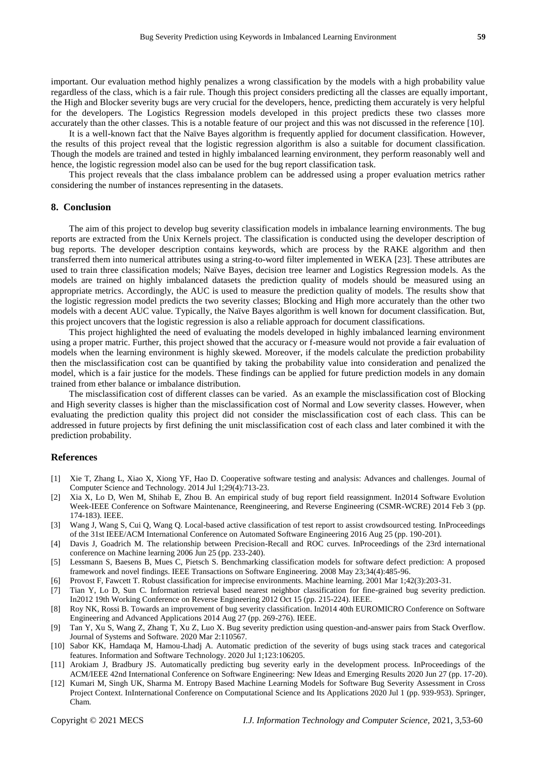important. Our evaluation method highly penalizes a wrong classification by the models with a high probability value regardless of the class, which is a fair rule. Though this project considers predicting all the classes are equally important, the High and Blocker severity bugs are very crucial for the developers, hence, predicting them accurately is very helpful for the developers. The Logistics Regression models developed in this project predicts these two classes more accurately than the other classes. This is a notable feature of our project and this was not discussed in the reference [10].

It is a well-known fact that the Naïve Bayes algorithm is frequently applied for document classification. However, the results of this project reveal that the logistic regression algorithm is also a suitable for document classification. Though the models are trained and tested in highly imbalanced learning environment, they perform reasonably well and hence, the logistic regression model also can be used for the bug report classification task.

This project reveals that the class imbalance problem can be addressed using a proper evaluation metrics rather considering the number of instances representing in the datasets.

# **8. Conclusion**

The aim of this project to develop bug severity classification models in imbalance learning environments. The bug reports are extracted from the Unix Kernels project. The classification is conducted using the developer description of bug reports. The developer description contains keywords, which are process by the RAKE algorithm and then transferred them into numerical attributes using a string-to-word filter implemented in WEKA [23]. These attributes are used to train three classification models; Naïve Bayes, decision tree learner and Logistics Regression models. As the models are trained on highly imbalanced datasets the prediction quality of models should be measured using an appropriate metrics. Accordingly, the AUC is used to measure the prediction quality of models. The results show that the logistic regression model predicts the two severity classes; Blocking and High more accurately than the other two models with a decent AUC value. Typically, the Naïve Bayes algorithm is well known for document classification. But, this project uncovers that the logistic regression is also a reliable approach for document classifications.

This project highlighted the need of evaluating the models developed in highly imbalanced learning environment using a proper matric. Further, this project showed that the accuracy or f-measure would not provide a fair evaluation of models when the learning environment is highly skewed. Moreover, if the models calculate the prediction probability then the misclassification cost can be quantified by taking the probability value into consideration and penalized the model, which is a fair justice for the models. These findings can be applied for future prediction models in any domain trained from ether balance or imbalance distribution.

The misclassification cost of different classes can be varied. As an example the misclassification cost of Blocking and High severity classes is higher than the misclassification cost of Normal and Low severity classes. However, when evaluating the prediction quality this project did not consider the misclassification cost of each class. This can be addressed in future projects by first defining the unit misclassification cost of each class and later combined it with the prediction probability.

# **References**

- [1] Xie T, Zhang L, Xiao X, Xiong YF, Hao D. Cooperative software testing and analysis: Advances and challenges. Journal of Computer Science and Technology. 2014 Jul 1;29(4):713-23.
- [2] Xia X, Lo D, Wen M, Shihab E, Zhou B. An empirical study of bug report field reassignment. In2014 Software Evolution Week-IEEE Conference on Software Maintenance, Reengineering, and Reverse Engineering (CSMR-WCRE) 2014 Feb 3 (pp. 174-183). IEEE.
- [3] Wang J, Wang S, Cui Q, Wang Q. Local-based active classification of test report to assist crowdsourced testing. InProceedings of the 31st IEEE/ACM International Conference on Automated Software Engineering 2016 Aug 25 (pp. 190-201).
- [4] Davis J, Goadrich M. The relationship between Precision-Recall and ROC curves. InProceedings of the 23rd international conference on Machine learning 2006 Jun 25 (pp. 233-240).
- [5] Lessmann S, Baesens B, Mues C, Pietsch S. Benchmarking classification models for software defect prediction: A proposed framework and novel findings. IEEE Transactions on Software Engineering. 2008 May 23;34(4):485-96.
- [6] Provost F, Fawcett T. Robust classification for imprecise environments. Machine learning. 2001 Mar 1;42(3):203-31.
- [7] Tian Y, Lo D, Sun C. Information retrieval based nearest neighbor classification for fine-grained bug severity prediction. In2012 19th Working Conference on Reverse Engineering 2012 Oct 15 (pp. 215-224). IEEE.
- [8] Roy NK, Rossi B. Towards an improvement of bug severity classification. In2014 40th EUROMICRO Conference on Software Engineering and Advanced Applications 2014 Aug 27 (pp. 269-276). IEEE.
- [9] Tan Y, Xu S, Wang Z, Zhang T, Xu Z, Luo X. Bug severity prediction using question-and-answer pairs from Stack Overflow. Journal of Systems and Software. 2020 Mar 2:110567.
- [10] Sabor KK, Hamdaqa M, Hamou-Lhadj A. Automatic prediction of the severity of bugs using stack traces and categorical features. Information and Software Technology. 2020 Jul 1;123:106205.
- [11] Arokiam J, Bradbury JS. Automatically predicting bug severity early in the development process. InProceedings of the ACM/IEEE 42nd International Conference on Software Engineering: New Ideas and Emerging Results 2020 Jun 27 (pp. 17-20).
- [12] Kumari M, Singh UK, Sharma M. Entropy Based Machine Learning Models for Software Bug Severity Assessment in Cross Project Context. InInternational Conference on Computational Science and Its Applications 2020 Jul 1 (pp. 939-953). Springer, Cham.